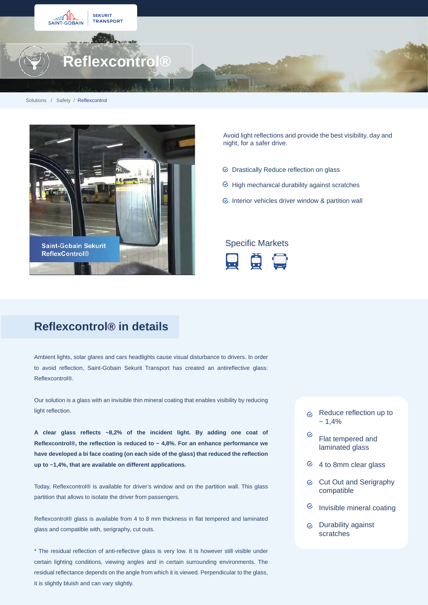

#### Solutions / Safety / Reflexcontrol



Avoid light reflections and provide the best visibility, day and night, for a safer drive.

- Drastically Reduce reflection on glass
- $\odot$  High mechanical durability against scratches
- $\odot$  Interior vehicles driver window & partition wall

### Specific Markets



## **Reflexcontrol® in details**

Ambient lights, solar glares and cars headlights cause visual disturbance to drivers. In order to avoid reflection, Saint-Gobain Sekurit Transport has created an antireflective glass: Reflexcontrol®.

Our solution is a glass with an invisible thin mineral coating that enables visibility by reducing light reflection.

**A clear glass reflects ~8,2% of the incident light. By adding one coat of Reflexcontrol®, the reflection is reduced to ~ 4,8%. For an enhance performance we have developed a bi face coating (on each side of the glass) that reduced the reflection up to ~1,4%, that are available on different applications.**

Today, Reflexcontrol® is available for driver's window and on the partition wall. This glass partition that allows to isolate the driver from passengers.

Reflexcontrol® glass is available from 4 to 8 mm thickness in flat tempered and laminated glass and compatible with, serigraphy, cut outs.

\* The residual reflection of anti-reflective glass is very low. It is however still visible under certain lighting conditions, viewing angles and in certain surrounding environments. The residual reflectance depends on the angle from which it is viewed. Perpendicular to the glass, it is slightly bluish and can vary slightly.

- $\infty$  Reduce reflection up to  $~1.4%$
- $\odot$ Flat tempered and laminated glass
- $64$  to 8mm clear glass
- $\odot$ Cut Out and Serigraphy compatible
- $\odot$ Invisible mineral coating
- Durability against scratches